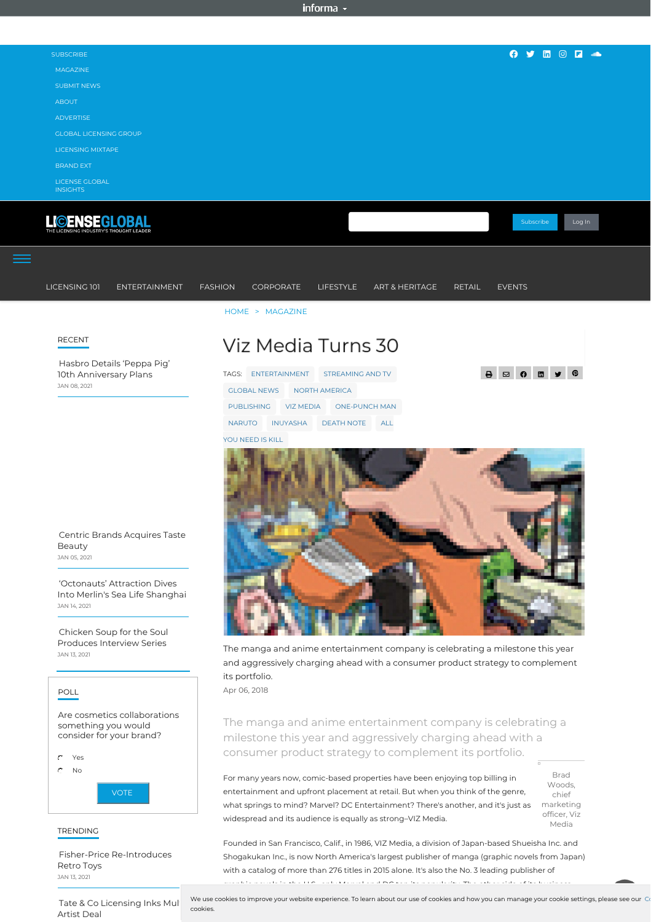The manga and anime entertainment company is celebrating a milestone this year and aggressively charging ahead with a consumer product strategy to complement its portfolio.

Apr 06, 2018

The manga and anime entertainment company is celebrating a milestone this year and aggressively charging ahead with a consumer product strategy to complement its portfolio.

| For many years now, comic-based properties have been enjoying top billing in      | <b>Brad</b>  |
|-----------------------------------------------------------------------------------|--------------|
|                                                                                   | Woods,       |
| entertainment and upfront placement at retail. But when you think of the genre,   | chief        |
| what springs to mind? Marvel? DC Entertainment? There's another, and it's just as | marketing    |
| widespread and its audience is equally as strong-VIZ Media.                       | officer, Viz |
|                                                                                   | Media        |

| <b>SUBSCRIBE</b>                                                | <b>O y</b> in © <b>F</b>                                                                                                       |
|-----------------------------------------------------------------|--------------------------------------------------------------------------------------------------------------------------------|
| <b>MAGAZINE</b>                                                 |                                                                                                                                |
| <b>SUBMIT NEWS</b>                                              |                                                                                                                                |
| <b>ABOUT</b>                                                    |                                                                                                                                |
| <b>ADVERTISE</b>                                                |                                                                                                                                |
| <b>GLOBAL LICENSING GROUP</b>                                   |                                                                                                                                |
| LICENSING MIXTAPE                                               |                                                                                                                                |
| <b>BRAND EXT</b>                                                |                                                                                                                                |
| <b>LICENSE GLOBAL</b><br><b>INSIGHTS</b>                        |                                                                                                                                |
| <b>LIGENSEGLOBAL</b><br>THE LICENSING INDUSTRY'S THOUGHT LEADER | Subscribe<br>Log In                                                                                                            |
| LICENSING 101<br><b>ENTERTAINMENT</b>                           | ART & HERITAGE<br><b>FASHION</b><br>CORPORATE<br><b>LIFESTYLE</b><br><b>RETAIL</b><br><b>EVENTS</b>                            |
|                                                                 | HOME > MAGAZINE                                                                                                                |
| <b>RECENT</b>                                                   | Viz Media Turns 30                                                                                                             |
| Hasbro Details 'Peppa Pig'                                      |                                                                                                                                |
| 10th Anniversary Plans<br>JAN 08, 2021                          | $\blacksquare$ $\blacktriangleright$ $\lhd$<br>$\theta$<br>$\mathbf{B}$<br>$\boxtimes$<br>TAGS: ENTERTAINMENT STREAMING AND TV |
|                                                                 | <b>GLOBAL NEWS</b><br><b>NORTH AMERICA</b>                                                                                     |
|                                                                 | <b>PUBLISHING</b><br><b>VIZ MEDIA</b><br><b>ONE-PUNCH MAN</b>                                                                  |
|                                                                 | <b>INUYASHA</b><br><b>NARUTO</b><br><b>DEATH NOTE</b><br>ALL                                                                   |
|                                                                 | YOU NEED IS KILL                                                                                                               |
|                                                                 |                                                                                                                                |
|                                                                 |                                                                                                                                |
| Centric Brands Acquires Taste<br>Beauty                         |                                                                                                                                |

Founded in San Francisco, Calif., in 1986, VIZ Media, a division of Japan-based Shueisha Inc. and Shogakukan Inc., is now North America's largest publisher of manga (graphic novels from Japan) with a catalog of more than 276 titles in 2015 alone. It's also the No. 3 leading publisher of graphic novels in the U.S.–only Marvel and DC top its popularity. The other side of its business,

Tate & Co [Licensing](https://www.licenseglobal.com/art/tate-co-licensing-inks-multi-artist-deal) Inks Mul Artist Deal cookies.

We use cookies to improve your website experience. To learn about our use of cookies and how you can manage your cookie settings, please see our Co

JAN 05, 2021

['Octonauts'](https://www.licenseglobal.com/entertainment/octonauts-attraction-dives-merlins-sea-life-shanghai) Attraction Dives

Into Merlin's Sea Life Shanghai JAN 14, 2021

Chicken Soup for the Soul [Produces](https://www.licenseglobal.com/entertainment/chicken-soup-soul-produces-interview-series) Interview Series JAN 13, 2021

| POLL                                                                            |
|---------------------------------------------------------------------------------|
| Are cosmetics collaborations<br>something you would<br>consider for your brand? |
| O<br>Yes<br>∩<br>Nο                                                             |
| <b>VOTE</b>                                                                     |

## TRENDING

Fisher-Price [Re-Introduces](https://www.licenseglobal.com/toys-games/fisher-price-re-introduces-retro-toys) Retro Toys JAN 13, 2021

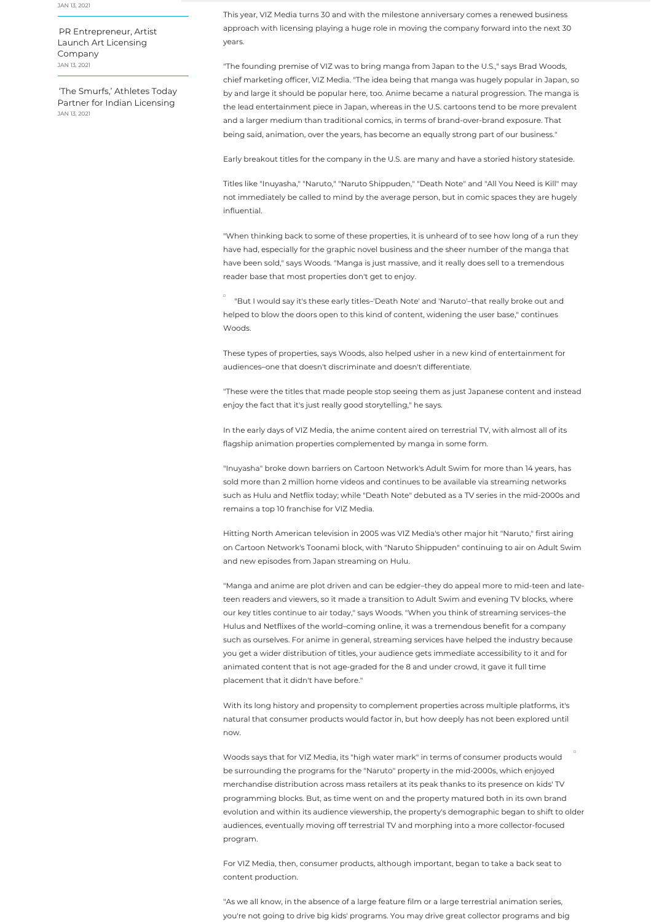This year, VIZ Media turns 30 and with the milestone anniversary comes a renewed business approach with licensing playing a huge role in moving the company forward into the next 30 years.

"The founding premise of VIZ was to bring manga from Japan to the U.S.," says Brad Woods, chief marketing officer, VIZ Media. "The idea being that manga was hugely popular in Japan, so by and large it should be popular here, too. Anime became a natural progression. The manga is the lead entertainment piece in Japan, whereas in the U.S. cartoons tend to be more prevalent and a larger medium than traditional comics, in terms of brand-over-brand exposure. That being said, animation, over the years, has become an equally strong part of our business."

Early breakout titles for the company in the U.S. are many and have a storied history stateside.

Titles like "Inuyasha," "Naruto," "Naruto Shippuden," "Death Note" and "All You Need is Kill" may not immediately be called to mind by the average person, but in comic spaces they are hugely influential.

"When thinking back to some of these properties, it is unheard of to see how long of a run they have had, especially for the graphic novel business and the sheer number of the manga that have been sold," says Woods. "Manga is just massive, and it really does sell to a tremendous reader base that most properties don't get to enjoy.

"But I would say it's these early titles–'Death Note' and 'Naruto'–that really broke out and helped to blow the doors open to this kind of content, widening the user base," continues Woods.

These types of properties, says Woods, also helped usher in a new kind of entertainment for audiences–one that doesn't discriminate and doesn't differentiate.

"These were the titles that made people stop seeing them as just Japanese content and instead enjoy the fact that it's just really good storytelling," he says.

In the early days of VIZ Media, the anime content aired on terrestrial TV, with almost all of its flagship animation properties complemented by manga in some form.

"Inuyasha" broke down barriers on Cartoon Network's Adult Swim for more than 14 years, has sold more than 2 million home videos and continues to be available via streaming networks such as Hulu and Netflix today; while "Death Note" debuted as a TV series in the mid-2000s and remains a top 10 franchise for VIZ Media.

Hitting North American television in 2005 was VIZ Media's other major hit "Naruto," first airing on Cartoon Network's Toonami block, with "Naruto Shippuden" continuing to air on Adult Swim and new episodes from Japan streaming on Hulu.

"Manga and anime are plot driven and can be edgier–they do appeal more to mid-teen and lateteen readers and viewers, so it made a transition to Adult Swim and evening TV blocks, where our key titles continue to air today," says Woods. "When you think of streaming services–the Hulus and Netflixes of the world–coming online, it was a tremendous benefit for a company such as ourselves. For anime in general, streaming services have helped the industry because you get a wider distribution of titles, your audience gets immediate accessibility to it and for animated content that is not age-graded for the 8 and under crowd, it gave it full time placement that it didn't have before."

With its long history and propensity to complement properties across multiple platforms, it's natural that consumer products would factor in, but how deeply has not been explored until now.

Woods says that for VIZ Media, its "high water mark" in terms of consumer products would be surrounding the programs for the "Naruto" property in the mid-2000s, which enjoyed merchandise distribution across mass retailers at its peak thanks to its presence on kids' TV programming blocks. But, as time went on and the property matured both in its own brand evolution and within its audience viewership, the property's demographic began to shift to older audiences, eventually moving off terrestrial TV and morphing into a more collector-focused program.

For VIZ Media, then, consumer products, although important, began to take a back seat to content production.

"As we all know, in the absence of a large feature film or a large terrestrial animation series, you're not going to drive big kids' programs. You may drive great collector programs and big

JAN 13, 2021

PR [Entrepreneur,](https://www.licenseglobal.com/art/pr-entrepreneur-artist-launch-art-licensing-company) Artist Launch Art Licensing Company JAN 13, 2021

'The Smurfs,' Athletes Today Partner for Indian [Licensing](https://www.licenseglobal.com/industry-news/smurfs-athletes-today-partner-indian-licensing) JAN 13, 2021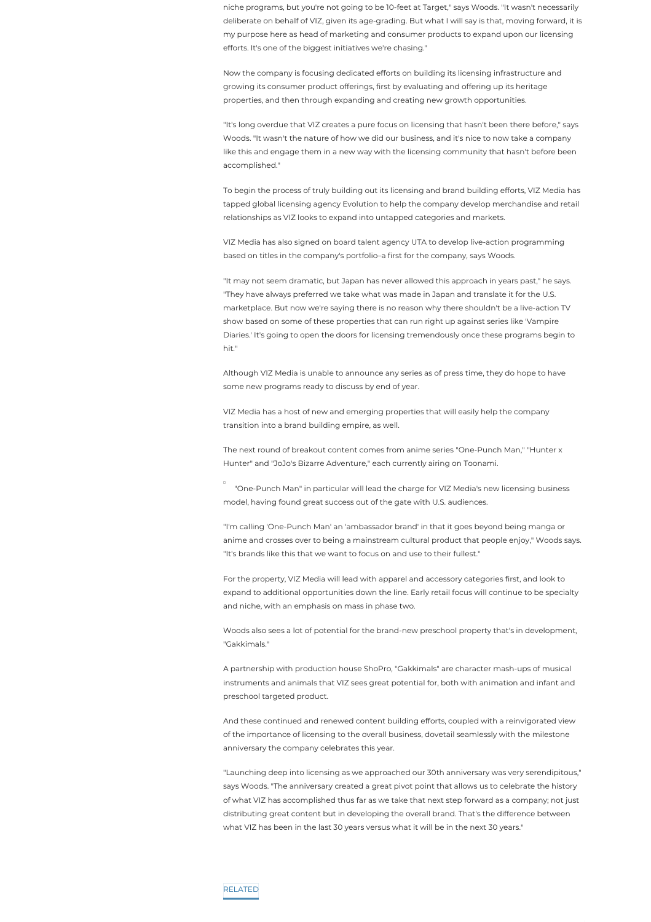niche programs, but you're not going to be 10-feet at Target," says Woods. "It wasn't necessarily deliberate on behalf of VIZ, given its age-grading. But what I will say is that, moving forward, it is my purpose here as head of marketing and consumer products to expand upon our licensing efforts. It's one of the biggest initiatives we're chasing."

Now the company is focusing dedicated efforts on building its licensing infrastructure and growing its consumer product offerings, first by evaluating and offering up its heritage properties, and then through expanding and creating new growth opportunities.

"It's long overdue that VIZ creates a pure focus on licensing that hasn't been there before," says Woods. "It wasn't the nature of how we did our business, and it's nice to now take a company like this and engage them in a new way with the licensing community that hasn't before been accomplished."

To begin the process of truly building out its licensing and brand building efforts, VIZ Media has tapped global licensing agency Evolution to help the company develop merchandise and retail relationships as VIZ looks to expand into untapped categories and markets.

VIZ Media has also signed on board talent agency UTA to develop live-action programming based on titles in the company's portfolio–a first for the company, says Woods.

"It may not seem dramatic, but Japan has never allowed this approach in years past," he says. "They have always preferred we take what was made in Japan and translate it for the U.S. marketplace. But now we're saying there is no reason why there shouldn't be a live-action TV show based on some of these properties that can run right up against series like 'Vampire Diaries.' It's going to open the doors for licensing tremendously once these programs begin to hit."

Although VIZ Media is unable to announce any series as of press time, they do hope to have some new programs ready to discuss by end of year.

VIZ Media has a host of new and emerging properties that will easily help the company transition into a brand building empire, as well.

The next round of breakout content comes from anime series "One-Punch Man," "Hunter x Hunter" and "JoJo's Bizarre Adventure," each currently airing on Toonami.

"One-Punch Man" in particular will lead the charge for VIZ Media's new licensing business model, having found great success out of the gate with U.S. audiences.

"I'm calling 'One-Punch Man' an 'ambassador brand' in that it goes beyond being manga or anime and crosses over to being a mainstream cultural product that people enjoy," Woods says. "It's brands like this that we want to focus on and use to their fullest."

For the property, VIZ Media will lead with apparel and accessory categories first, and look to

expand to additional opportunities down the line. Early retail focus will continue to be specialty and niche, with an emphasis on mass in phase two.

Woods also sees a lot of potential for the brand-new preschool property that's in development, "Gakkimals."

A partnership with production house ShoPro, "Gakkimals" are character mash-ups of musical instruments and animals that VIZ sees great potential for, both with animation and infant and preschool targeted product.

And these continued and renewed content building efforts, coupled with a reinvigorated view of the importance of licensing to the overall business, dovetail seamlessly with the milestone anniversary the company celebrates this year.

"Launching deep into licensing as we approached our 30th anniversary was very serendipitous," says Woods. "The anniversary created a great pivot point that allows us to celebrate the history of what VIZ has accomplished thus far as we take that next step forward as a company; not just distributing great content but in developing the overall brand. That's the difference between what VIZ has been in the last 30 years versus what it will be in the next 30 years."

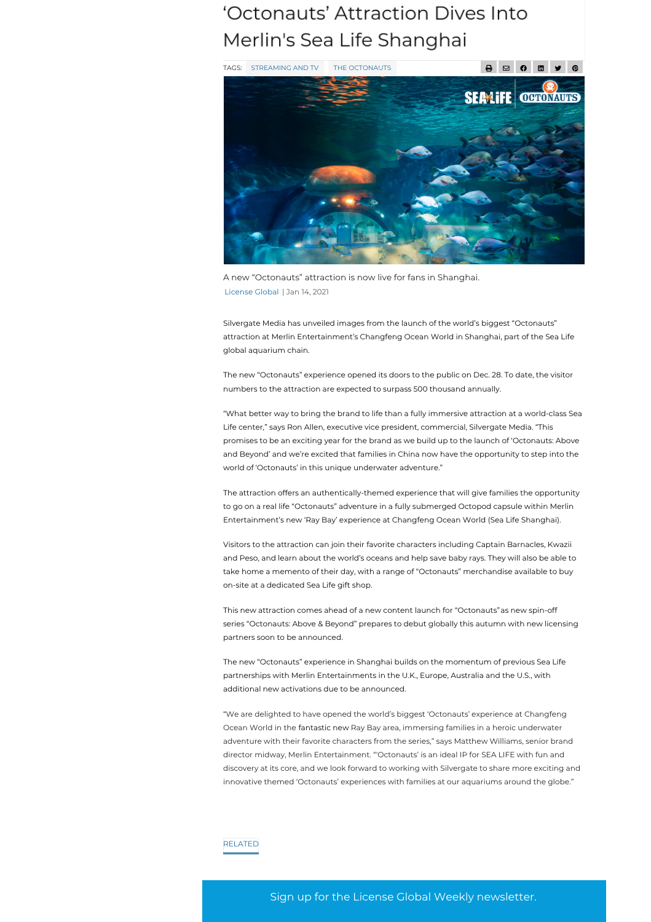Sign up for the License Global Weekly newsletter.





A new "Octonauts" attraction is now live for fans in Shanghai. [License](https://www.licenseglobal.com/author/License-) Global | Jan 14, 2021

Silvergate Media has unveiled images from the launch of the world's biggest "Octonauts" attraction at Merlin Entertainment's Changfeng Ocean World in Shanghai, part of the Sea Life global aquarium chain.

The new "Octonauts" experience opened its doors to the public on Dec. 28. To date, the visitor numbers to the attraction are expected to surpass 500 thousand annually.

"What better way to bring the brand to life than a fully immersive attraction at a world-class Sea Life center," says Ron Allen, executive vice president, commercial, Silvergate Media. "This promises to be an exciting year for the brand as we build up to the launch of 'Octonauts: Above and Beyond' and we're excited that families in China now have the opportunity to step into the world of 'Octonauts' in this unique underwater adventure."

The attraction offers an authentically-themed experience that will give families the opportunity to go on a real life "Octonauts" adventure in a fully submerged Octopod capsule within Merlin Entertainment's new 'Ray Bay' experience at Changfeng Ocean World (Sea Life Shanghai).

Visitors to the attraction can join their favorite characters including Captain Barnacles, Kwazii and Peso, and learn about the world's oceans and help save baby rays. They will also be able to take home a memento of their day, with a range of "Octonauts" merchandise available to buy

on-site at a dedicated Sea Life gift shop.

This new attraction comes ahead of a new content launch for "Octonauts"as new spin-off series "Octonauts: Above & Beyond" prepares to debut globally this autumn with new licensing partners soon to be announced.

The new "Octonauts" experience in Shanghai builds on the momentum of previous Sea Life partnerships with Merlin Entertainments in the U.K., Europe, Australia and the U.S., with additional new activations due to be announced.

"We are delighted to have opened the world's biggest 'Octonauts' experience at Changfeng Ocean World in the fantastic new Ray Bay area, immersing families in a heroic underwater adventure with their favorite characters from the series," says Matthew Williams, senior brand director midway, Merlin Entertainment. "'Octonauts' is an ideal IP for SEA LIFE with fun and discovery at its core, and we look forward to working with Silvergate to share more exciting and innovative themed 'Octonauts' experiences with families at our aquariums around the globe."